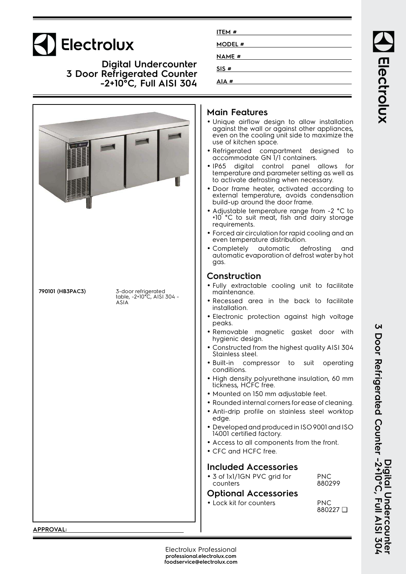# Electrolux

**Digital Undercounter 3 Door Refrigerated Counter -2+10°C, Full AISI 304**

|                                                                               | Main F<br>· Unique<br>against<br>even or<br>use of k<br>• Refrige<br>accom<br>$\bullet$ IP65<br>temper<br>to activ<br>· Door fr<br>externc<br>build-u<br>• Adjustc<br>$+10^\circ$ °C<br>require<br>• Forced<br>even te<br>• Comple<br>automo<br>gas.<br>Constr                                                                                                       |
|-------------------------------------------------------------------------------|----------------------------------------------------------------------------------------------------------------------------------------------------------------------------------------------------------------------------------------------------------------------------------------------------------------------------------------------------------------------|
| 790101 (HB3PAC3)<br>3-door refrigerated<br>table, -2+10°C, AISI 304 -<br>ASIA | · Fully e<br>mainter<br>• Recess<br>installa<br>· Electron<br>peaks.<br>• Remove<br>hygieni<br>· Constru<br><b>Stainles</b><br>· Built-in<br>conditio<br>· High de<br>ticknes:<br>· Mounte<br>· Rounde<br>· Anti-dri<br>edge.<br>· Develo<br>14001 c<br>• Access<br>$\bullet$ CFC an<br>Include<br>$\bullet$ 3 of $\vert x \vert$<br>counter<br>Option<br>· Lock kil |

| ITEM#         |  |
|---------------|--|
| <b>MODEL#</b> |  |
| <b>NAME#</b>  |  |
| SIS#          |  |
| AIA#          |  |

#### **Main Features**

- airflow design to allow installation the wall or against other appliances, n the cooling unit side to maximize the kitchen space.
- rated compartment designed to modate GN 1/1 containers.
- digital control panel allows for ature and parameter setting as well as  $\alpha$ de defrosting when necessary.
- rame heater, activated according to al temperature, avoids condensation p around the door frame.
- able temperature range from -2 °C to to suit meat, fish and dairy storage ments.
- air circulation for rapid cooling and an emperature distribution.
- etely automatic defrosting and atic evaporation of defrost water by hot

#### **uction**

- xtractable cooling unit to facilitate nance.
- ed area in the back to facilitate tion.
- nic protection against high voltage
- able magnetic gasket door with ic design.
- ucted from the highest quality AISI 304 ss steel.
- compressor to suit operating ons.
- High density polyurethane insulation, 60 mm tickness, HCFC free.
- ed on 150 mm adjustable feet.
- ed internal corners for ease of cleaning.
- ip profile on stainless steel worktop
- ped and produced in ISO 9001 and ISO ertified factory.
- to all components from the front.
- nd HCFC free.

#### **Included Accessories**

1/1GN PVC arid for  $r<$ PNC 880299

#### **Optional Accessories**

It for counters PNC

 $\mathbf{\Omega}$ 

Electrolux

**APPROVAL:**

880227 ❑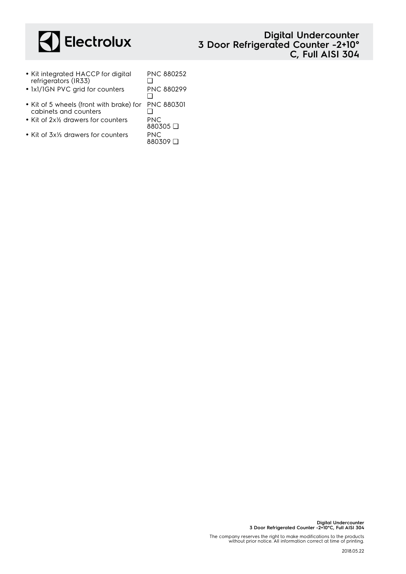

#### **Digital Undercounter 3 Door Refrigerated Counter -2+10° C, Full AISI 304**

- Kit integrated HACCP for digital refrigerators (IR33) PNC 880252  $\Box$
- 1x1/1GN PVC grid for counters PNC 880299 ❑
- Kit of 5 wheels (front with brake) for cabinets and counters  $\Box$
- Kit of 2x<sup>y</sup> drawers for counters PNC
- Kit of 3x⅓ drawers for counters PNC

PNC 880301 880305 ❑ 880309 ❑

The company reserves the right to make modifications to the products without prior notice. All information correct at time of printing.